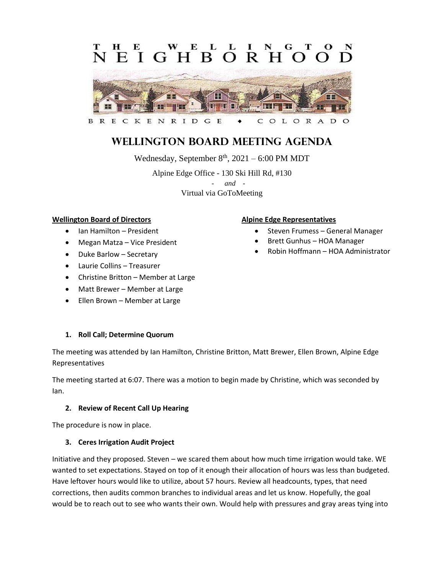#### L EIGHBORH  $\Omega$



#### C OLORAD

# **Wellington Board Meeting Agenda**

Wednesday, September  $8<sup>th</sup>$ , 2021 – 6:00 PM MDT

Alpine Edge Office - 130 Ski Hill Rd, #130 - *and -* Virtual via GoToMeeting

### **Wellington Board of Directors**

- Ian Hamilton President
- Megan Matza Vice President
- Duke Barlow Secretary
- Laurie Collins Treasurer
- Christine Britton Member at Large
- Matt Brewer Member at Large
- Ellen Brown Member at Large

# **1. Roll Call; Determine Quorum**

The meeting was attended by Ian Hamilton, Christine Britton, Matt Brewer, Ellen Brown, Alpine Edge Representatives

The meeting started at 6:07. There was a motion to begin made by Christine, which was seconded by Ian.

#### **2. Review of Recent Call Up Hearing**

The procedure is now in place.

# **3. Ceres Irrigation Audit Project**

Initiative and they proposed. Steven – we scared them about how much time irrigation would take. WE wanted to set expectations. Stayed on top of it enough their allocation of hours was less than budgeted. Have leftover hours would like to utilize, about 57 hours. Review all headcounts, types, that need corrections, then audits common branches to individual areas and let us know. Hopefully, the goal would be to reach out to see who wants their own. Would help with pressures and gray areas tying into

#### **Alpine Edge Representatives**

- Steven Frumess General Manager
- Brett Gunhus HOA Manager
- Robin Hoffmann HOA Administrator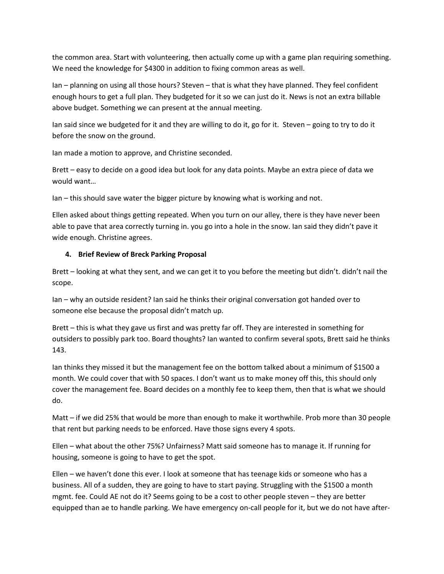the common area. Start with volunteering, then actually come up with a game plan requiring something. We need the knowledge for \$4300 in addition to fixing common areas as well.

Ian – planning on using all those hours? Steven – that is what they have planned. They feel confident enough hours to get a full plan. They budgeted for it so we can just do it. News is not an extra billable above budget. Something we can present at the annual meeting.

Ian said since we budgeted for it and they are willing to do it, go for it. Steven – going to try to do it before the snow on the ground.

Ian made a motion to approve, and Christine seconded.

Brett – easy to decide on a good idea but look for any data points. Maybe an extra piece of data we would want…

Ian – this should save water the bigger picture by knowing what is working and not.

Ellen asked about things getting repeated. When you turn on our alley, there is they have never been able to pave that area correctly turning in. you go into a hole in the snow. Ian said they didn't pave it wide enough. Christine agrees.

### **4. Brief Review of Breck Parking Proposal**

Brett – looking at what they sent, and we can get it to you before the meeting but didn't. didn't nail the scope.

Ian – why an outside resident? Ian said he thinks their original conversation got handed over to someone else because the proposal didn't match up.

Brett – this is what they gave us first and was pretty far off. They are interested in something for outsiders to possibly park too. Board thoughts? Ian wanted to confirm several spots, Brett said he thinks 143.

Ian thinks they missed it but the management fee on the bottom talked about a minimum of \$1500 a month. We could cover that with 50 spaces. I don't want us to make money off this, this should only cover the management fee. Board decides on a monthly fee to keep them, then that is what we should do.

Matt – if we did 25% that would be more than enough to make it worthwhile. Prob more than 30 people that rent but parking needs to be enforced. Have those signs every 4 spots.

Ellen – what about the other 75%? Unfairness? Matt said someone has to manage it. If running for housing, someone is going to have to get the spot.

Ellen – we haven't done this ever. I look at someone that has teenage kids or someone who has a business. All of a sudden, they are going to have to start paying. Struggling with the \$1500 a month mgmt. fee. Could AE not do it? Seems going to be a cost to other people steven – they are better equipped than ae to handle parking. We have emergency on-call people for it, but we do not have after-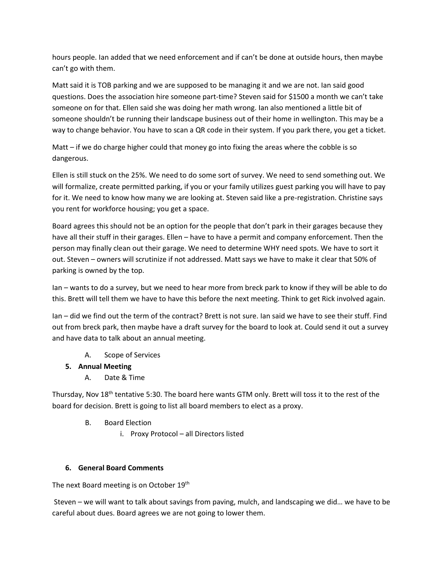hours people. Ian added that we need enforcement and if can't be done at outside hours, then maybe can't go with them.

Matt said it is TOB parking and we are supposed to be managing it and we are not. Ian said good questions. Does the association hire someone part-time? Steven said for \$1500 a month we can't take someone on for that. Ellen said she was doing her math wrong. Ian also mentioned a little bit of someone shouldn't be running their landscape business out of their home in wellington. This may be a way to change behavior. You have to scan a QR code in their system. If you park there, you get a ticket.

Matt – if we do charge higher could that money go into fixing the areas where the cobble is so dangerous.

Ellen is still stuck on the 25%. We need to do some sort of survey. We need to send something out. We will formalize, create permitted parking, if you or your family utilizes guest parking you will have to pay for it. We need to know how many we are looking at. Steven said like a pre-registration. Christine says you rent for workforce housing; you get a space.

Board agrees this should not be an option for the people that don't park in their garages because they have all their stuff in their garages. Ellen – have to have a permit and company enforcement. Then the person may finally clean out their garage. We need to determine WHY need spots. We have to sort it out. Steven – owners will scrutinize if not addressed. Matt says we have to make it clear that 50% of parking is owned by the top.

Ian – wants to do a survey, but we need to hear more from breck park to know if they will be able to do this. Brett will tell them we have to have this before the next meeting. Think to get Rick involved again.

Ian – did we find out the term of the contract? Brett is not sure. Ian said we have to see their stuff. Find out from breck park, then maybe have a draft survey for the board to look at. Could send it out a survey and have data to talk about an annual meeting.

A. Scope of Services

# **5. Annual Meeting**

A. Date & Time

Thursday, Nov 18<sup>th</sup> tentative 5:30. The board here wants GTM only. Brett will toss it to the rest of the board for decision. Brett is going to list all board members to elect as a proxy.

- B. Board Election
	- i. Proxy Protocol all Directors listed

# **6. General Board Comments**

The next Board meeting is on October 19<sup>th</sup>

Steven – we will want to talk about savings from paving, mulch, and landscaping we did… we have to be careful about dues. Board agrees we are not going to lower them.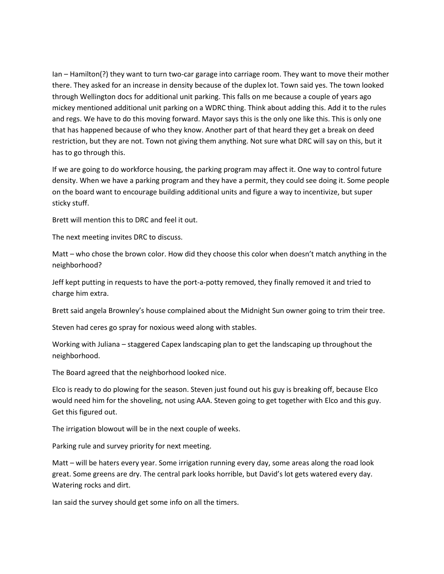Ian – Hamilton(?) they want to turn two-car garage into carriage room. They want to move their mother there. They asked for an increase in density because of the duplex lot. Town said yes. The town looked through Wellington docs for additional unit parking. This falls on me because a couple of years ago mickey mentioned additional unit parking on a WDRC thing. Think about adding this. Add it to the rules and regs. We have to do this moving forward. Mayor says this is the only one like this. This is only one that has happened because of who they know. Another part of that heard they get a break on deed restriction, but they are not. Town not giving them anything. Not sure what DRC will say on this, but it has to go through this.

If we are going to do workforce housing, the parking program may affect it. One way to control future density. When we have a parking program and they have a permit, they could see doing it. Some people on the board want to encourage building additional units and figure a way to incentivize, but super sticky stuff.

Brett will mention this to DRC and feel it out.

The next meeting invites DRC to discuss.

Matt – who chose the brown color. How did they choose this color when doesn't match anything in the neighborhood?

Jeff kept putting in requests to have the port-a-potty removed, they finally removed it and tried to charge him extra.

Brett said angela Brownley's house complained about the Midnight Sun owner going to trim their tree.

Steven had ceres go spray for noxious weed along with stables.

Working with Juliana – staggered Capex landscaping plan to get the landscaping up throughout the neighborhood.

The Board agreed that the neighborhood looked nice.

Elco is ready to do plowing for the season. Steven just found out his guy is breaking off, because Elco would need him for the shoveling, not using AAA. Steven going to get together with Elco and this guy. Get this figured out.

The irrigation blowout will be in the next couple of weeks.

Parking rule and survey priority for next meeting.

Matt – will be haters every year. Some irrigation running every day, some areas along the road look great. Some greens are dry. The central park looks horrible, but David's lot gets watered every day. Watering rocks and dirt.

Ian said the survey should get some info on all the timers.